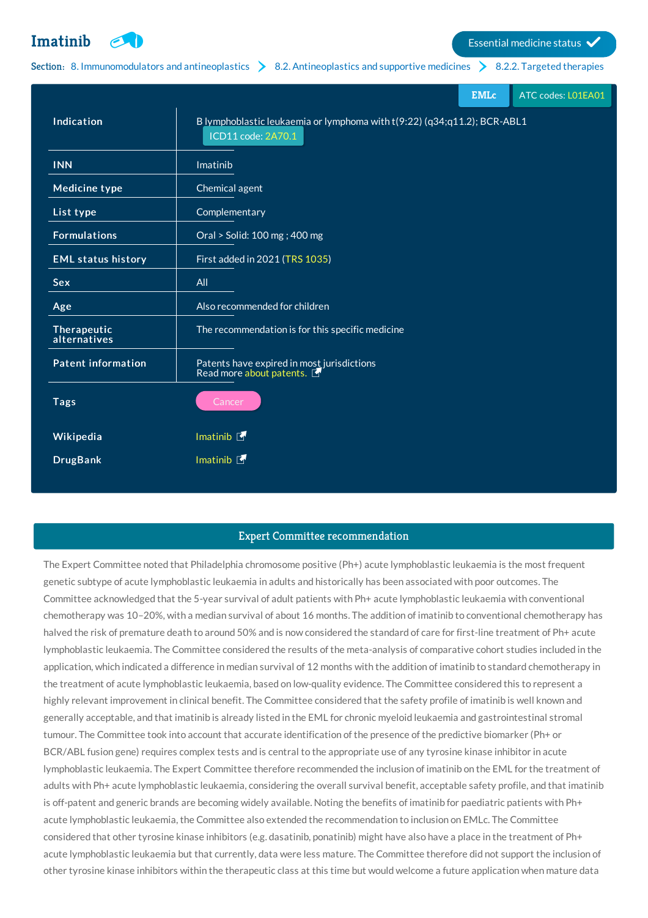**[Imatinib](http://list.essentialmeds.org/medicines/95) Example 1** Essential medicine status  $\checkmark$ 

## Section: 8. [Immunomodulators](http://list.essentialmeds.org/?section=374) and antineoplastics  $\geq 8.2$ . [Antineoplastics](http://list.essentialmeds.org/?section=376) and supportive medicines  $\geq 8.2.2$ . Targeted [therapies](http://list.essentialmeds.org/?section=481)

|                             |                                                                                                | <b>EMLc</b> | ATC codes: L01EA01 |
|-----------------------------|------------------------------------------------------------------------------------------------|-------------|--------------------|
| Indication                  | B lymphoblastic leukaemia or lymphoma with t(9:22) (q34;q11.2); BCR-ABL1<br>ICD11 code: 2A70.1 |             |                    |
| <b>INN</b>                  | Imatinib                                                                                       |             |                    |
| <b>Medicine type</b>        | Chemical agent                                                                                 |             |                    |
| List type                   | Complementary                                                                                  |             |                    |
| <b>Formulations</b>         | Oral > Solid: 100 mg; 400 mg                                                                   |             |                    |
| <b>EML status history</b>   | First added in 2021 (TRS 1035)                                                                 |             |                    |
| <b>Sex</b>                  | All                                                                                            |             |                    |
| Age                         | Also recommended for children                                                                  |             |                    |
| Therapeutic<br>alternatives | The recommendation is for this specific medicine                                               |             |                    |
| <b>Patent information</b>   | Patents have expired in most jurisdictions<br>Read more about patents.                         |             |                    |
| <b>Tags</b>                 | Cancer                                                                                         |             |                    |
| Wikipedia                   | Imatinib <b>F</b>                                                                              |             |                    |
| <b>DrugBank</b>             | Imatinib <b>F</b>                                                                              |             |                    |
|                             |                                                                                                |             |                    |

## Expert Committee recommendation

The Expert Committee noted that Philadelphia chromosome positive (Ph+) acute lymphoblastic leukaemia is the most frequent genetic subtype of acute lymphoblastic leukaemia in adults and historically has been associated with poor outcomes. The Committee acknowledged that the 5-year survival of adult patients with Ph+ acute lymphoblastic leukaemia with conventional chemotherapy was 10–20%, with a median survival of about 16 months. The addition of imatinib to conventional chemotherapy has halved the risk of premature death to around 50% and is now considered the standard of care for first-line treatment of Ph+ acute lymphoblastic leukaemia. The Committee considered the results of the meta-analysis of comparative cohort studies included in the application, which indicated a difference in median survival of 12 months with the addition of imatinib to standard chemotherapy in the treatment of acute lymphoblastic leukaemia, based on low-quality evidence. The Committee considered this to represent a highly relevant improvement in clinical benefit. The Committee considered that the safety profile of imatinib is well known and generally acceptable, and that imatinib is already listed in the EML for chronic myeloid leukaemia and gastrointestinal stromal tumour. The Committee took into account that accurate identification of the presence of the predictive biomarker (Ph+ or BCR/ABL fusion gene) requires complex tests and is central to the appropriate use of any tyrosine kinase inhibitor in acute lymphoblastic leukaemia. The Expert Committee therefore recommended the inclusion of imatinib on the EML for the treatment of adults with Ph+ acute lymphoblastic leukaemia, considering the overall survival benefit, acceptable safety profile, and that imatinib is off-patent and generic brands are becoming widely available. Noting the benefits of imatinib for paediatric patients with Ph+ acute lymphoblastic leukaemia, the Committee also extended the recommendation to inclusion on EMLc. The Committee considered that other tyrosine kinase inhibitors (e.g. dasatinib, ponatinib) might have also have a place in the treatment of Ph+ acute lymphoblastic leukaemia but that currently, data were less mature. The Committee therefore did not support the inclusion of other tyrosine kinase inhibitors within the therapeutic class at this time but would welcome a future application when mature data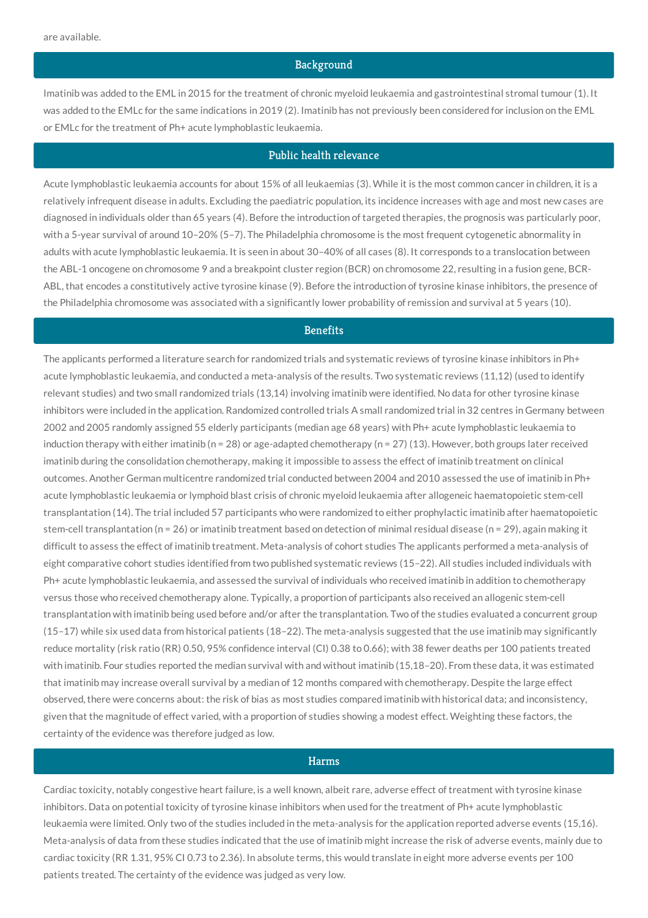#### **Background**

Imatinib was added to the EML in 2015 for the treatment of chronic myeloid leukaemia and gastrointestinal stromal tumour (1). It was added to the EMLc for the same indications in 2019 (2). Imatinib has not previously been considered for inclusion on the EML or EMLc for the treatment of Ph+ acute lymphoblastic leukaemia.

### Public health relevance

Acute lymphoblastic leukaemia accounts for about 15% of all leukaemias (3). While it is the most common cancer in children, it is a relatively infrequent disease in adults. Excluding the paediatric population, its incidence increases with age and most new cases are diagnosed in individuals older than 65 years (4). Before the introduction of targeted therapies, the prognosis was particularly poor, with a 5-year survival of around 10–20% (5–7). The Philadelphia chromosome is the most frequent cytogenetic abnormality in adults with acute lymphoblastic leukaemia. It is seen in about 30–40% of all cases (8). It corresponds to a translocation between the ABL-1 oncogene on chromosome 9 and a breakpoint cluster region (BCR) on chromosome 22, resulting in a fusion gene, BCR-ABL, that encodes a constitutively active tyrosine kinase (9). Before the introduction of tyrosine kinase inhibitors, the presence of the Philadelphia chromosome was associated with a significantly lower probability of remission and survival at 5 years (10).

## **Benefits**

The applicants performed a literature search for randomized trials and systematic reviews of tyrosine kinase inhibitors in Ph+ acute lymphoblastic leukaemia, and conducted a meta-analysis of the results. Two systematic reviews (11,12) (used to identify relevant studies) and two small randomized trials (13,14) involving imatinib were identified. No data for other tyrosine kinase inhibitors were included in the application. Randomized controlled trials A small randomized trial in 32 centres in Germany between 2002 and 2005 randomly assigned 55 elderly participants (median age 68 years) with Ph+ acute lymphoblastic leukaemia to induction therapy with either imatinib ( $n = 28$ ) or age-adapted chemotherapy ( $n = 27$ ) (13). However, both groups later received imatinib during the consolidation chemotherapy, making it impossible to assess the effect of imatinib treatment on clinical outcomes. Another German multicentre randomized trial conducted between 2004 and 2010 assessed the use of imatinib in Ph+ acute lymphoblastic leukaemia or lymphoid blast crisis of chronic myeloid leukaemia after allogeneic haematopoietic stem-cell transplantation (14). The trial included 57 participants who were randomized to either prophylactic imatinib after haematopoietic stem-cell transplantation (n = 26) or imatinib treatment based on detection of minimal residual disease (n = 29), again making it difficult to assess the effect of imatinib treatment. Meta-analysis of cohort studies The applicants performed a meta-analysis of eight comparative cohort studies identified from two published systematic reviews (15–22). All studies included individuals with Ph+ acute lymphoblastic leukaemia, and assessed the survival of individuals who received imatinib in addition to chemotherapy versus those who received chemotherapy alone. Typically, a proportion of participants also received an allogenic stem-cell transplantation with imatinib being used before and/or after the transplantation. Two of the studies evaluated a concurrent group (15–17) while six used data from historical patients (18–22). The meta-analysis suggested that the use imatinib may significantly reduce mortality (risk ratio (RR) 0.50, 95% confidence interval (CI) 0.38 to 0.66); with 38 fewer deaths per 100 patients treated with imatinib. Four studies reported the median survival with and without imatinib (15,18–20). From these data, it was estimated that imatinib may increase overall survival by a median of 12 months compared with chemotherapy. Despite the large effect observed, there were concerns about: the risk of bias as most studies compared imatinib with historical data; and inconsistency, given that the magnitude of effect varied, with a proportion of studies showing a modest effect. Weighting these factors, the certainty of the evidence was therefore judged as low.

### Harms

Cardiac toxicity, notably congestive heart failure, is a well known, albeit rare, adverse effect of treatment with tyrosine kinase inhibitors. Data on potential toxicity of tyrosine kinase inhibitors when used for the treatment of Ph+ acute lymphoblastic leukaemia were limited. Only two of the studies included in the meta-analysis for the application reported adverse events (15,16). Meta-analysis of data from these studies indicated that the use of imatinib might increase the risk of adverse events, mainly due to cardiac toxicity (RR 1.31, 95% CI 0.73 to 2.36). In absolute terms, this would translate in eight more adverse events per 100 patients treated. The certainty of the evidence was judged as very low.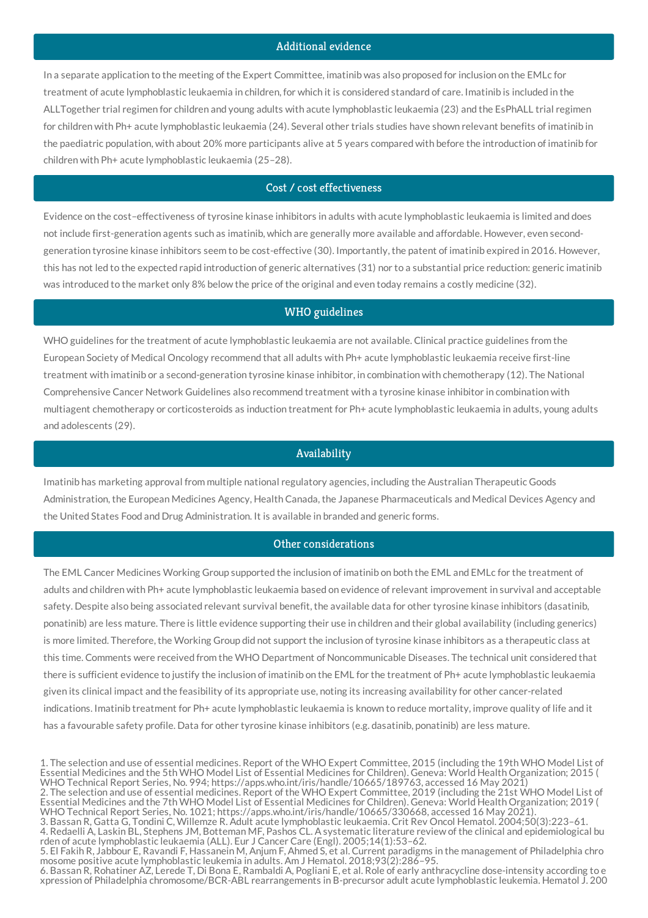# Additional evidence

In a separate application to the meeting of the Expert Committee, imatinib was also proposed for inclusion on the EMLc for treatment of acute lymphoblastic leukaemia in children, for which it is considered standard of care. Imatinib is included in the ALLTogether trial regimen for children and young adults with acute lymphoblastic leukaemia (23) and the EsPhALL trial regimen for children with Ph+ acute lymphoblastic leukaemia (24). Several other trials studies have shown relevant benefits of imatinib in the paediatric population, with about 20% more participants alive at 5 years compared with before the introduction of imatinib for children with Ph+ acute lymphoblastic leukaemia (25–28).

# Cost / cost effectiveness

Evidence on the cost–effectiveness of tyrosine kinase inhibitors in adults with acute lymphoblastic leukaemia is limited and does not include first-generation agents such as imatinib, which are generally more available and affordable. However, even secondgeneration tyrosine kinase inhibitors seem to be cost-effective (30). Importantly, the patent of imatinib expired in 2016. However, this has not led to the expected rapid introduction of generic alternatives (31) nor to a substantial price reduction: generic imatinib was introduced to the market only 8% below the price of the original and even today remains a costly medicine (32).

### WHO guidelines

WHO guidelines for the treatment of acute lymphoblastic leukaemia are not available. Clinical practice guidelines from the European Society of Medical Oncology recommend that all adults with Ph+ acute lymphoblastic leukaemia receive first-line treatment with imatinib or a second-generation tyrosine kinase inhibitor, in combination with chemotherapy (12). The National Comprehensive Cancer Network Guidelines also recommend treatment with a tyrosine kinase inhibitor in combination with multiagent chemotherapy or corticosteroids as induction treatment for Ph+ acute lymphoblastic leukaemia in adults, young adults and adolescents (29).

#### Availability

Imatinib has marketing approval from multiple national regulatory agencies, including the Australian Therapeutic Goods Administration, the European Medicines Agency, Health Canada, the Japanese Pharmaceuticals and Medical Devices Agency and the United States Food and Drug Administration. It is available in branded and generic forms.

### Other considerations

The EML Cancer Medicines Working Group supported the inclusion of imatinib on both the EML and EMLc for the treatment of adults and children with Ph+ acute lymphoblastic leukaemia based on evidence of relevant improvement in survival and acceptable safety. Despite also being associated relevant survival benefit, the available data for other tyrosine kinase inhibitors (dasatinib, ponatinib) are less mature. There is little evidence supporting their use in children and their global availability (including generics) is more limited. Therefore, the Working Group did not support the inclusion of tyrosine kinase inhibitors as a therapeutic class at this time. Comments were received from the WHO Department of Noncommunicable Diseases. The technical unit considered that there is sufficient evidence to justify the inclusion of imatinib on the EML for the treatment of Ph+ acute lymphoblastic leukaemia given its clinical impact and the feasibility of its appropriate use, noting its increasing availability for other cancer-related indications. Imatinib treatment for Ph+ acute lymphoblastic leukaemia is known to reduce mortality, improve quality of life and it has a favourable safety profile. Data for other tyrosine kinase inhibitors (e.g. dasatinib, ponatinib) are less mature.

<sup>1.</sup> The selection and use of essential medicines. Report of the WHO Expert Committee, 2015 (including the 19th WHO Model List of Essential Medicines and the 5th WHO Model List of Essential Medicines for Children). Geneva: World Health Organization; 2015 ( WHO Technical Report Series, No. 994; https://apps.who.int/iris/handle/10665/189763, accessed 16 May 2021)

<sup>2.</sup> The selection and use of essential medicines. Report of the WHO Expert Committee, 2019 (including the 21st WHO Model List of Essential Medicines and the 7th WHO Model List of Essential Medicines for Children). Geneva: World Health Organization; 2019 ( WHO Technical Report Series, No. 1021; https://apps.who.int/iris/handle/10665/330668, accessed 16 May 2021).

<sup>3.</sup> Bassan R, Gatta G, Tondini C, Willemze R. Adult acute lymphoblastic leukaemia. Crit Rev Oncol Hematol. 2004;50(3):223–61. 4. Redaelli A, Laskin BL, Stephens JM, Botteman MF, Pashos CL. A systematic literature review of the clinical and epidemiological bu rden of acute lymphoblastic leukaemia (ALL). Eur J Cancer Care (Engl). 2005;14(1):53–62.

<sup>5.</sup> El Fakih R, Jabbour E, Ravandi F, Hassanein M, Anjum F, Ahmed S, et al. Current paradigms in the management of Philadelphia chro mosome positive acute lymphoblastic leukemia in adults. Am J Hematol. 2018;93(2):286–95.

<sup>6.</sup> Bassan R, Rohatiner AZ, Lerede T, Di Bona E, Rambaldi A, Pogliani E, et al. Role of early anthracycline dose-intensity according to e xpression of Philadelphia chromosome/BCR-ABL rearrangements in B-precursor adult acute lymphoblastic leukemia. Hematol J. 200